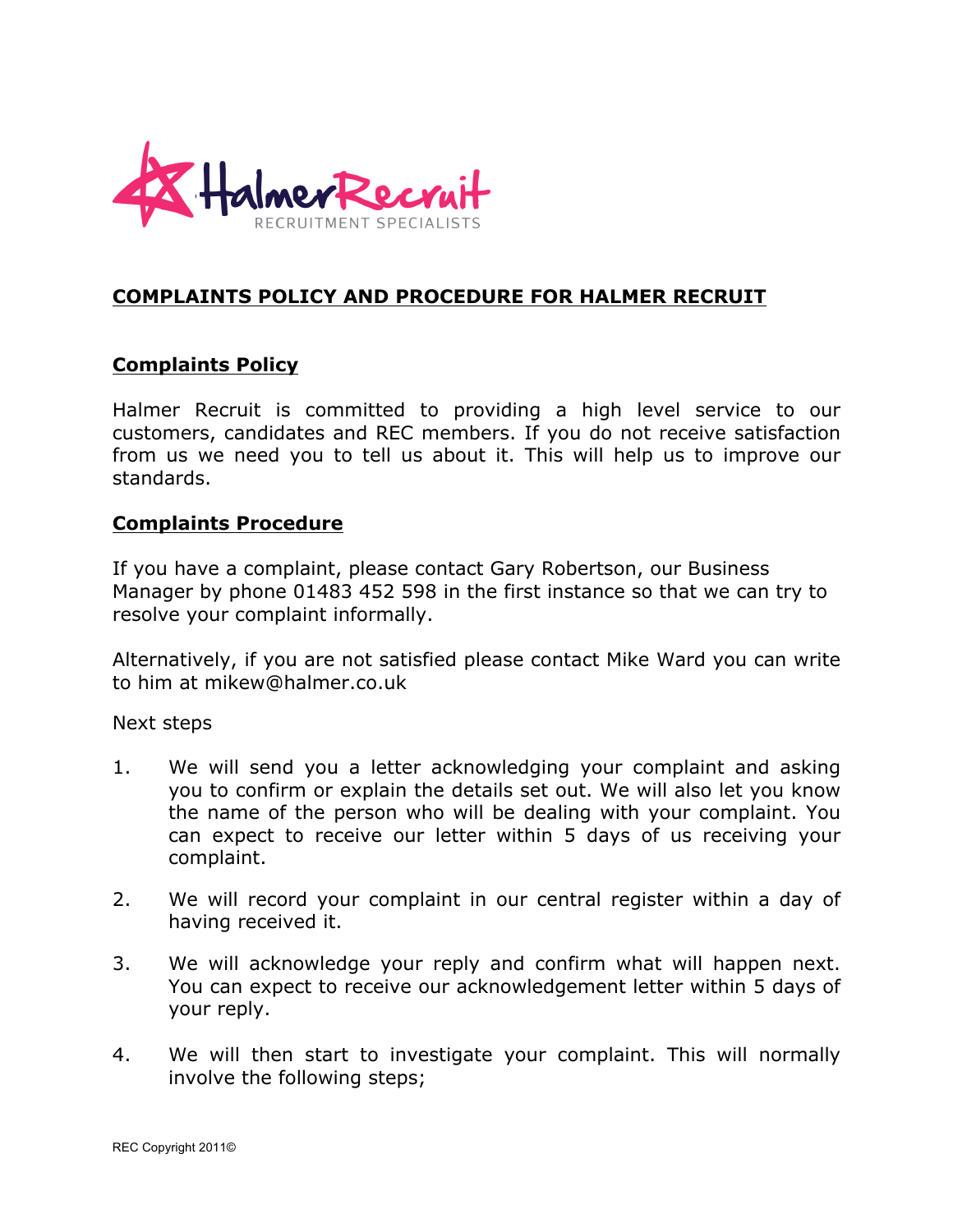

## **COMPLAINTS POLICY AND PROCEDURE FOR HALMER RECRUIT**

## **Complaints Policy**

Halmer Recruit is committed to providing a high level service to our customers, candidates and REC members. If you do not receive satisfaction from us we need you to tell us about it. This will help us to improve our standards.

## **Complaints Procedure**

If you have a complaint, please contact Gary Robertson, our Business Manager by phone 01483 452 598 in the first instance so that we can try to resolve your complaint informally.

Alternatively, if you are not satisfied please contact Mike Ward you can write to him at mikew@halmer.co.uk

Next steps

- 1. We will send you a letter acknowledging your complaint and asking you to confirm or explain the details set out. We will also let you know the name of the person who will be dealing with your complaint. You can expect to receive our letter within 5 days of us receiving your complaint.
- 2. We will record your complaint in our central register within a day of having received it.
- 3. We will acknowledge your reply and confirm what will happen next. You can expect to receive our acknowledgement letter within 5 days of your reply.
- 4. We will then start to investigate your complaint. This will normally involve the following steps;